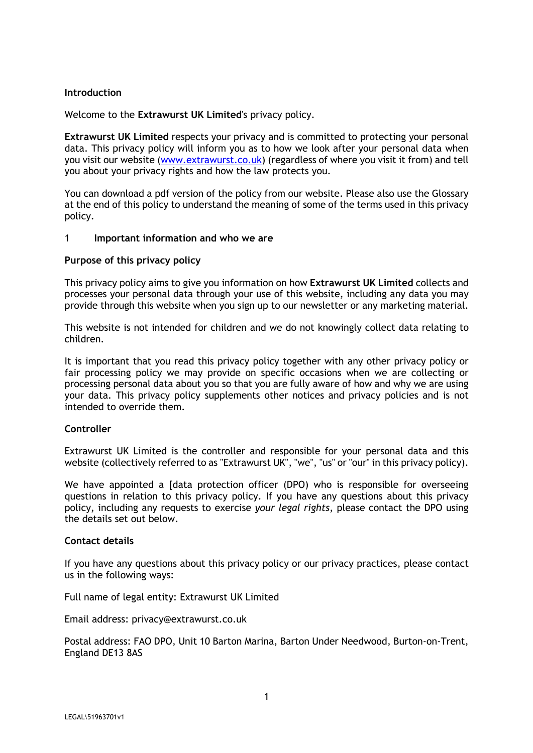## **Introduction**

Welcome to the **Extrawurst UK Limited**'s privacy policy.

**Extrawurst UK Limited** respects your privacy and is committed to protecting your personal data. This privacy policy will inform you as to how we look after your personal data when you visit our website (www.extrawurst.co.uk) (regardless of where you visit it from) and tell you about your privacy rights and how the law protects you.

You can download a pdf version of the policy from our website. Please also use the Glossary at the end of this policy to understand the meaning of some of the terms used in this privacy policy.

### 1 **Important information and who we are**

### **Purpose of this privacy policy**

This privacy policy aims to give you information on how **Extrawurst UK Limited** collects and processes your personal data through your use of this website, including any data you may provide through this website when you sign up to our newsletter or any marketing material.

This website is not intended for children and we do not knowingly collect data relating to children.

It is important that you read this privacy policy together with any other privacy policy or fair processing policy we may provide on specific occasions when we are collecting or processing personal data about you so that you are fully aware of how and why we are using your data. This privacy policy supplements other notices and privacy policies and is not intended to override them.

## **Controller**

Extrawurst UK Limited is the controller and responsible for your personal data and this website (collectively referred to as "Extrawurst UK", "we", "us" or "our" in this privacy policy).

We have appointed a [data protection officer (DPO) who is responsible for overseeing questions in relation to this privacy policy. If you have any questions about this privacy policy, including any requests to exercise *your legal rights*, please contact the DPO using the details set out below.

### **Contact details**

If you have any questions about this privacy policy or our privacy practices, please contact us in the following ways:

Full name of legal entity: Extrawurst UK Limited

Email address: privacy@extrawurst.co.uk

Postal address: FAO DPO, Unit 10 Barton Marina, Barton Under Needwood, Burton-on-Trent, England DE13 8AS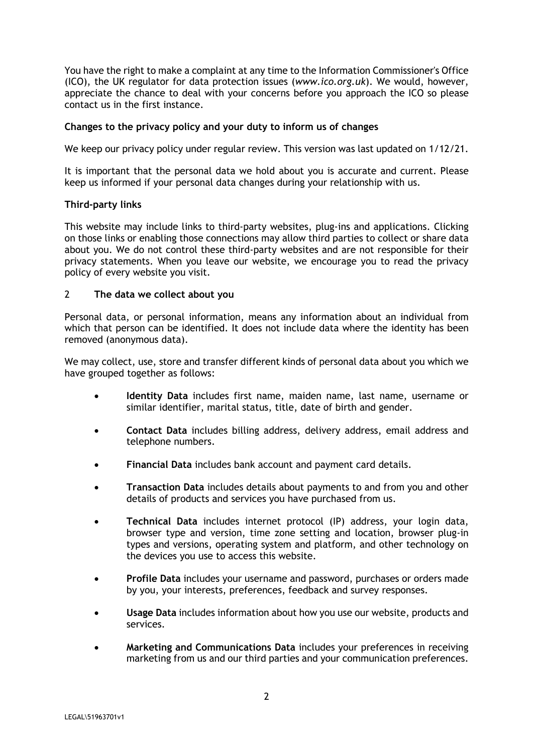You have the right to make a complaint at any time to the Information Commissioner's Office (ICO), the UK regulator for data protection issues (*www.ico.org.uk*). We would, however, appreciate the chance to deal with your concerns before you approach the ICO so please contact us in the first instance.

## **Changes to the privacy policy and your duty to inform us of changes**

We keep our privacy policy under regular review. This version was last updated on 1/12/21.

It is important that the personal data we hold about you is accurate and current. Please keep us informed if your personal data changes during your relationship with us.

# **Third-party links**

This website may include links to third-party websites, plug-ins and applications. Clicking on those links or enabling those connections may allow third parties to collect or share data about you. We do not control these third-party websites and are not responsible for their privacy statements. When you leave our website, we encourage you to read the privacy policy of every website you visit.

# 2 **The data we collect about you**

Personal data, or personal information, means any information about an individual from which that person can be identified. It does not include data where the identity has been removed (anonymous data).

We may collect, use, store and transfer different kinds of personal data about you which we have grouped together as follows:

- **Identity Data** includes first name, maiden name, last name, username or similar identifier, marital status, title, date of birth and gender.
- **Contact Data** includes billing address, delivery address, email address and telephone numbers.
- **Financial Data** includes bank account and payment card details.
- **Transaction Data** includes details about payments to and from you and other details of products and services you have purchased from us.
- **Technical Data** includes internet protocol (IP) address, your login data, browser type and version, time zone setting and location, browser plug-in types and versions, operating system and platform, and other technology on the devices you use to access this website.
- **Profile Data** includes your username and password, purchases or orders made by you, your interests, preferences, feedback and survey responses.
- **Usage Data** includes information about how you use our website, products and services.
- **Marketing and Communications Data** includes your preferences in receiving marketing from us and our third parties and your communication preferences.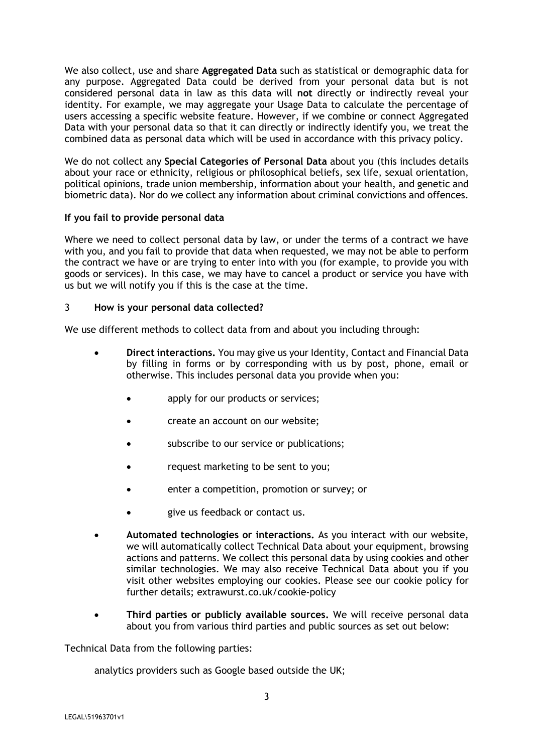We also collect, use and share **Aggregated Data** such as statistical or demographic data for any purpose. Aggregated Data could be derived from your personal data but is not considered personal data in law as this data will **not** directly or indirectly reveal your identity. For example, we may aggregate your Usage Data to calculate the percentage of users accessing a specific website feature. However, if we combine or connect Aggregated Data with your personal data so that it can directly or indirectly identify you, we treat the combined data as personal data which will be used in accordance with this privacy policy.

We do not collect any **Special Categories of Personal Data** about you (this includes details about your race or ethnicity, religious or philosophical beliefs, sex life, sexual orientation, political opinions, trade union membership, information about your health, and genetic and biometric data). Nor do we collect any information about criminal convictions and offences.

# **If you fail to provide personal data**

Where we need to collect personal data by law, or under the terms of a contract we have with you, and you fail to provide that data when requested, we may not be able to perform the contract we have or are trying to enter into with you (for example, to provide you with goods or services). In this case, we may have to cancel a product or service you have with us but we will notify you if this is the case at the time.

# 3 **How is your personal data collected?**

We use different methods to collect data from and about you including through:

- **Direct interactions.** You may give us your Identity, Contact and Financial Data by filling in forms or by corresponding with us by post, phone, email or otherwise. This includes personal data you provide when you:
	- apply for our products or services;
	- create an account on our website;
	- subscribe to our service or publications;
	- request marketing to be sent to you;
	- enter a competition, promotion or survey; or
	- give us feedback or contact us.
- **Automated technologies or interactions.** As you interact with our website, we will automatically collect Technical Data about your equipment, browsing actions and patterns. We collect this personal data by using cookies and other similar technologies. We may also receive Technical Data about you if you visit other websites employing our cookies. Please see our cookie policy for further details; extrawurst.co.uk/cookie-policy
- **Third parties or publicly available sources.** We will receive personal data about you from various third parties and public sources as set out below:

Technical Data from the following parties:

analytics providers such as Google based outside the UK;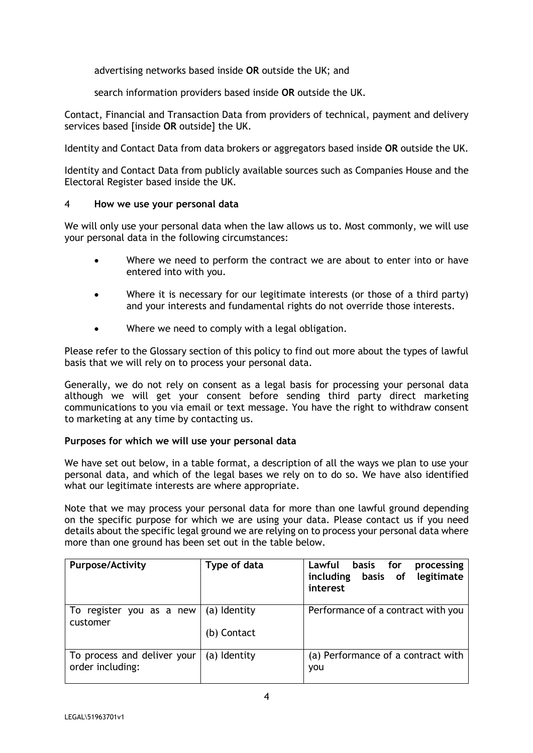advertising networks based inside **OR** outside the UK; and

search information providers based inside **OR** outside the UK.

Contact, Financial and Transaction Data from providers of technical, payment and delivery services based [inside **OR** outside] the UK.

Identity and Contact Data from data brokers or aggregators based inside **OR** outside the UK.

Identity and Contact Data from publicly available sources such as Companies House and the Electoral Register based inside the UK.

## 4 **How we use your personal data**

We will only use your personal data when the law allows us to. Most commonly, we will use your personal data in the following circumstances:

- Where we need to perform the contract we are about to enter into or have entered into with you.
- Where it is necessary for our legitimate interests (or those of a third party) and your interests and fundamental rights do not override those interests.
- Where we need to comply with a legal obligation.

Please refer to the Glossary section of this policy to find out more about the types of lawful basis that we will rely on to process your personal data.

Generally, we do not rely on consent as a legal basis for processing your personal data although we will get your consent before sending third party direct marketing communications to you via email or text message. You have the right to withdraw consent to marketing at any time by contacting us.

## **Purposes for which we will use your personal data**

We have set out below, in a table format, a description of all the ways we plan to use your personal data, and which of the legal bases we rely on to do so. We have also identified what our legitimate interests are where appropriate.

Note that we may process your personal data for more than one lawful ground depending on the specific purpose for which we are using your data. Please contact us if you need details about the specific legal ground we are relying on to process your personal data where more than one ground has been set out in the table below.

| <b>Purpose/Activity</b>                         | Type of data | basis for<br>Lawful<br>processing<br>including basis of legitimate<br>interest |
|-------------------------------------------------|--------------|--------------------------------------------------------------------------------|
| To register you as a new<br>customer            | (a) Identity | Performance of a contract with you                                             |
|                                                 | (b) Contact  |                                                                                |
| To process and deliver your<br>order including: | (a) Identity | (a) Performance of a contract with<br>you                                      |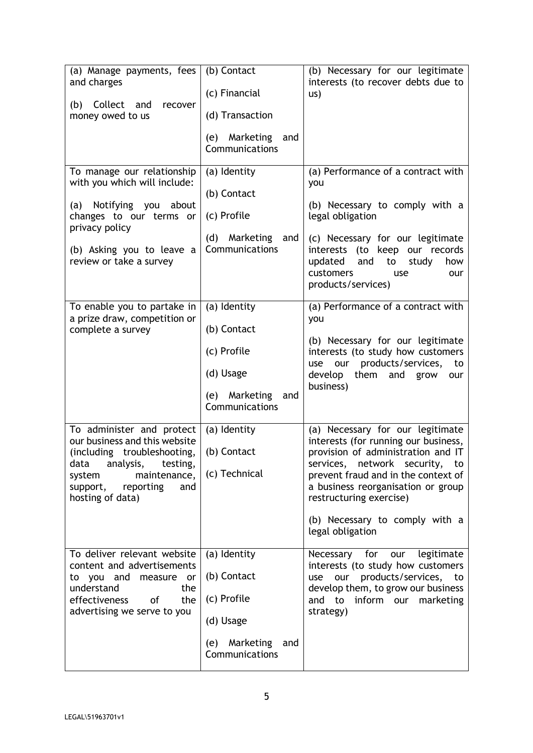| (a) Manage payments, fees<br>and charges<br>(b) Collect and<br>recover<br>money owed to us                                                                                                         | (b) Contact<br>(c) Financial<br>(d) Transaction<br>(e) Marketing<br>and<br>Communications            | (b) Necessary for our legitimate<br>interests (to recover debts due to<br>US)                                                                                                                                                                                                                                  |
|----------------------------------------------------------------------------------------------------------------------------------------------------------------------------------------------------|------------------------------------------------------------------------------------------------------|----------------------------------------------------------------------------------------------------------------------------------------------------------------------------------------------------------------------------------------------------------------------------------------------------------------|
| To manage our relationship<br>with you which will include:<br>(a) Notifying you<br>about<br>changes to our terms or<br>privacy policy<br>(b) Asking you to leave a<br>review or take a survey      | (a) Identity<br>(b) Contact<br>(c) Profile<br>(d) Marketing<br>and<br>Communications                 | (a) Performance of a contract with<br>you<br>(b) Necessary to comply with a<br>legal obligation<br>(c) Necessary for our legitimate<br>interests (to keep our records<br>updated<br>and<br>how<br>to<br>study<br>customers<br>use<br>our<br>products/services)                                                 |
| To enable you to partake in<br>a prize draw, competition or<br>complete a survey                                                                                                                   | (a) Identity<br>(b) Contact<br>(c) Profile<br>(d) Usage<br>(e) Marketing<br>and<br>Communications    | (a) Performance of a contract with<br>you<br>(b) Necessary for our legitimate<br>interests (to study how customers<br>products/services,<br>our<br>use<br>to<br>develop<br>them<br>and<br>grow<br>our<br>business)                                                                                             |
| To administer and protect<br>our business and this website<br>(including troubleshooting,<br>data analysis, testing,<br>maintenance,<br>system<br>support,<br>reporting<br>and<br>hosting of data) | (a) Identity<br>(b) Contact<br>(c) Technical                                                         | (a) Necessary for our legitimate<br>interests (for running our business,<br>provision of administration and IT<br>services, network security, to<br>prevent fraud and in the context of<br>a business reorganisation or group<br>restructuring exercise)<br>(b) Necessary to comply with a<br>legal obligation |
| To deliver relevant website<br>content and advertisements<br>to you and measure or<br>understand<br>the<br>effectiveness<br>the<br>of<br>advertising we serve to you                               | (a) Identity<br>(b) Contact<br>(c) Profile<br>(d) Usage<br>Marketing<br>and<br>(e)<br>Communications | Necessary for our<br>legitimate<br>interests (to study how customers<br>use our products/services, to<br>develop them, to grow our business<br>and to inform our marketing<br>strategy)                                                                                                                        |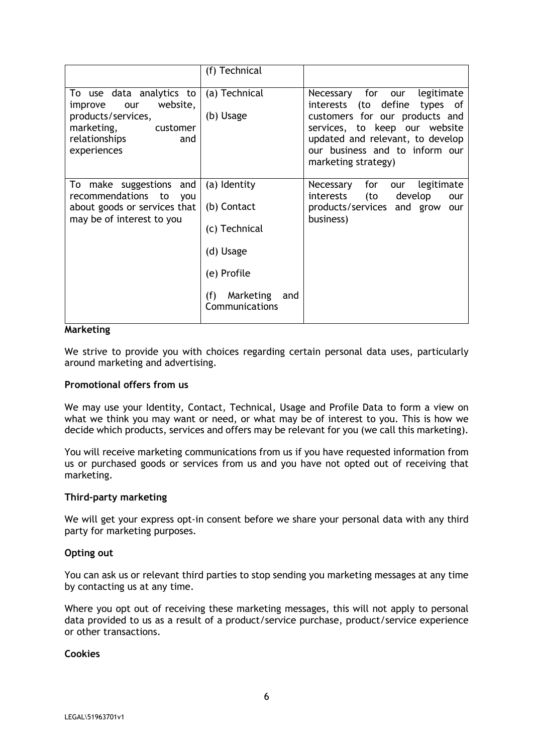|                                                                                                                                               | (f) Technical                                                                                                         |                                                                                                                                                                                                                                        |
|-----------------------------------------------------------------------------------------------------------------------------------------------|-----------------------------------------------------------------------------------------------------------------------|----------------------------------------------------------------------------------------------------------------------------------------------------------------------------------------------------------------------------------------|
| To use data analytics to<br>website,<br>improve<br>our<br>products/services,<br>marketing,<br>customer<br>relationships<br>and<br>experiences | (a) Technical<br>(b) Usage                                                                                            | Necessary for our<br>legitimate<br>interests (to define<br>types<br>of<br>customers for our products and<br>services, to keep our website<br>updated and relevant, to develop<br>our business and to inform our<br>marketing strategy) |
| To make suggestions and<br>recommendations to<br>you<br>about goods or services that<br>may be of interest to you                             | (a) Identity<br>(b) Contact<br>(c) Technical<br>(d) Usage<br>(e) Profile<br>Marketing<br>(f)<br>and<br>Communications | for<br>legitimate<br>Necessary<br>our<br>(to<br>develop<br>interests<br>our<br>products/services and grow<br>our<br>business)                                                                                                          |

#### **Marketing**

We strive to provide you with choices regarding certain personal data uses, particularly around marketing and advertising.

### **Promotional offers from us**

We may use your Identity, Contact, Technical, Usage and Profile Data to form a view on what we think you may want or need, or what may be of interest to you. This is how we decide which products, services and offers may be relevant for you (we call this marketing).

You will receive marketing communications from us if you have requested information from us or purchased goods or services from us and you have not opted out of receiving that marketing.

#### **Third-party marketing**

We will get your express opt-in consent before we share your personal data with any third party for marketing purposes.

### **Opting out**

You can ask us or relevant third parties to stop sending you marketing messages at any time by contacting us at any time.

Where you opt out of receiving these marketing messages, this will not apply to personal data provided to us as a result of a product/service purchase, product/service experience or other transactions.

### **Cookies**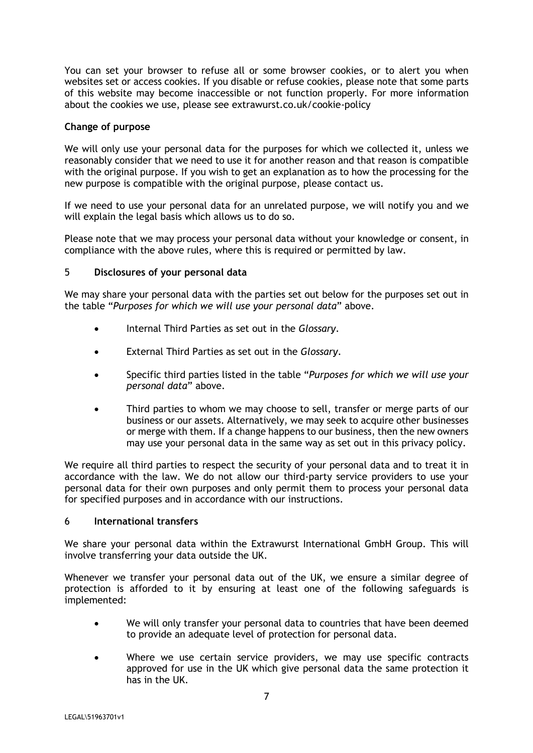You can set your browser to refuse all or some browser cookies, or to alert you when websites set or access cookies. If you disable or refuse cookies, please note that some parts of this website may become inaccessible or not function properly. For more information about the cookies we use, please see extrawurst.co.uk/cookie-policy

## **Change of purpose**

We will only use your personal data for the purposes for which we collected it, unless we reasonably consider that we need to use it for another reason and that reason is compatible with the original purpose. If you wish to get an explanation as to how the processing for the new purpose is compatible with the original purpose, please contact us.

If we need to use your personal data for an unrelated purpose, we will notify you and we will explain the legal basis which allows us to do so.

Please note that we may process your personal data without your knowledge or consent, in compliance with the above rules, where this is required or permitted by law.

# 5 **Disclosures of your personal data**

We may share your personal data with the parties set out below for the purposes set out in the table "*Purposes for which we will use your personal data*" above.

- Internal Third Parties as set out in the *Glossary*.
- External Third Parties as set out in the *Glossary*.
- Specific third parties listed in the table "*Purposes for which we will use your personal data*" above.
- Third parties to whom we may choose to sell, transfer or merge parts of our business or our assets. Alternatively, we may seek to acquire other businesses or merge with them. If a change happens to our business, then the new owners may use your personal data in the same way as set out in this privacy policy.

We require all third parties to respect the security of your personal data and to treat it in accordance with the law. We do not allow our third-party service providers to use your personal data for their own purposes and only permit them to process your personal data for specified purposes and in accordance with our instructions.

## 6 **International transfers**

We share your personal data within the Extrawurst International GmbH Group. This will involve transferring your data outside the UK.

Whenever we transfer your personal data out of the UK, we ensure a similar degree of protection is afforded to it by ensuring at least one of the following safeguards is implemented:

- We will only transfer your personal data to countries that have been deemed to provide an adequate level of protection for personal data.
- Where we use certain service providers, we may use specific contracts approved for use in the UK which give personal data the same protection it has in the UK.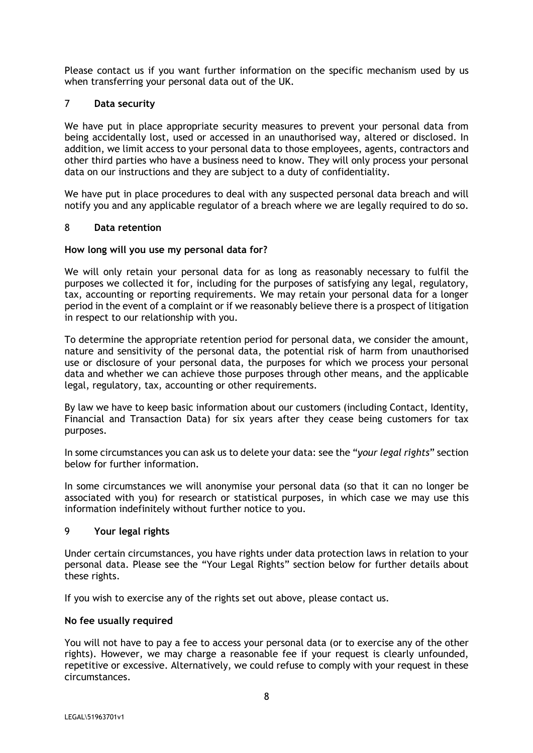Please contact us if you want further information on the specific mechanism used by us when transferring your personal data out of the UK.

### 7 **Data security**

We have put in place appropriate security measures to prevent your personal data from being accidentally lost, used or accessed in an unauthorised way, altered or disclosed. In addition, we limit access to your personal data to those employees, agents, contractors and other third parties who have a business need to know. They will only process your personal data on our instructions and they are subject to a duty of confidentiality.

We have put in place procedures to deal with any suspected personal data breach and will notify you and any applicable regulator of a breach where we are legally required to do so.

### 8 **Data retention**

### **How long will you use my personal data for?**

We will only retain your personal data for as long as reasonably necessary to fulfil the purposes we collected it for, including for the purposes of satisfying any legal, regulatory, tax, accounting or reporting requirements. We may retain your personal data for a longer period in the event of a complaint or if we reasonably believe there is a prospect of litigation in respect to our relationship with you.

To determine the appropriate retention period for personal data, we consider the amount, nature and sensitivity of the personal data, the potential risk of harm from unauthorised use or disclosure of your personal data, the purposes for which we process your personal data and whether we can achieve those purposes through other means, and the applicable legal, regulatory, tax, accounting or other requirements.

By law we have to keep basic information about our customers (including Contact, Identity, Financial and Transaction Data) for six years after they cease being customers for tax purposes.

In some circumstances you can ask us to delete your data: see the "*your legal rights*" section below for further information.

In some circumstances we will anonymise your personal data (so that it can no longer be associated with you) for research or statistical purposes, in which case we may use this information indefinitely without further notice to you.

### 9 **Your legal rights**

Under certain circumstances, you have rights under data protection laws in relation to your personal data. Please see the "Your Legal Rights" section below for further details about these rights.

If you wish to exercise any of the rights set out above, please contact us.

### **No fee usually required**

You will not have to pay a fee to access your personal data (or to exercise any of the other rights). However, we may charge a reasonable fee if your request is clearly unfounded, repetitive or excessive. Alternatively, we could refuse to comply with your request in these circumstances.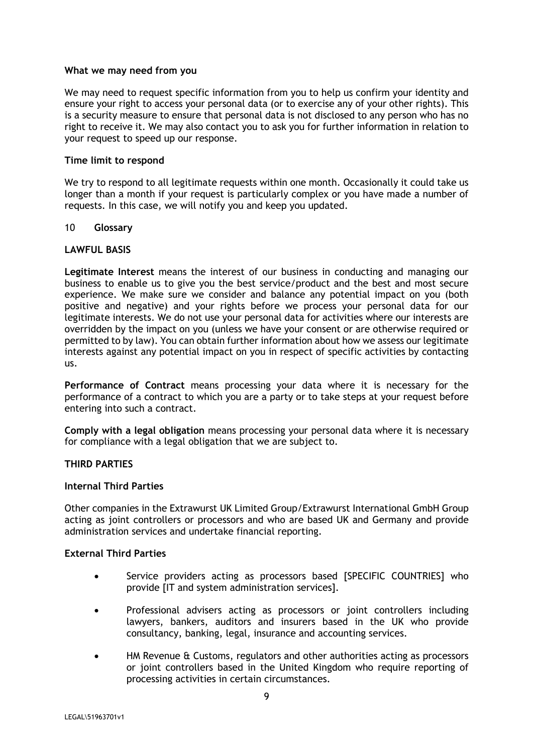### **What we may need from you**

We may need to request specific information from you to help us confirm your identity and ensure your right to access your personal data (or to exercise any of your other rights). This is a security measure to ensure that personal data is not disclosed to any person who has no right to receive it. We may also contact you to ask you for further information in relation to your request to speed up our response.

### **Time limit to respond**

We try to respond to all legitimate requests within one month. Occasionally it could take us longer than a month if your request is particularly complex or you have made a number of requests. In this case, we will notify you and keep you updated.

### 10 **Glossary**

### **LAWFUL BASIS**

**Legitimate Interest** means the interest of our business in conducting and managing our business to enable us to give you the best service/product and the best and most secure experience. We make sure we consider and balance any potential impact on you (both positive and negative) and your rights before we process your personal data for our legitimate interests. We do not use your personal data for activities where our interests are overridden by the impact on you (unless we have your consent or are otherwise required or permitted to by law). You can obtain further information about how we assess our legitimate interests against any potential impact on you in respect of specific activities by contacting us.

**Performance of Contract** means processing your data where it is necessary for the performance of a contract to which you are a party or to take steps at your request before entering into such a contract.

**Comply with a legal obligation** means processing your personal data where it is necessary for compliance with a legal obligation that we are subject to.

## **THIRD PARTIES**

### **Internal Third Parties**

Other companies in the Extrawurst UK Limited Group/Extrawurst International GmbH Group acting as joint controllers or processors and who are based UK and Germany and provide administration services and undertake financial reporting.

# **External Third Parties**

- Service providers acting as processors based [SPECIFIC COUNTRIES] who provide [IT and system administration services].
- Professional advisers acting as processors or joint controllers including lawyers, bankers, auditors and insurers based in the UK who provide consultancy, banking, legal, insurance and accounting services.
- HM Revenue & Customs, regulators and other authorities acting as processors or joint controllers based in the United Kingdom who require reporting of processing activities in certain circumstances.